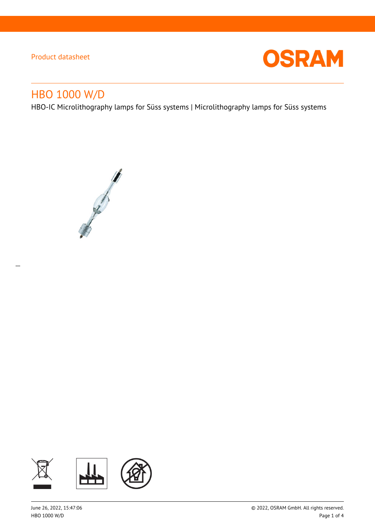$\overline{a}$ 



# HBO 1000 W/D

HBO-IC Microlithography lamps for Süss systems | Microlithography lamps for Süss systems



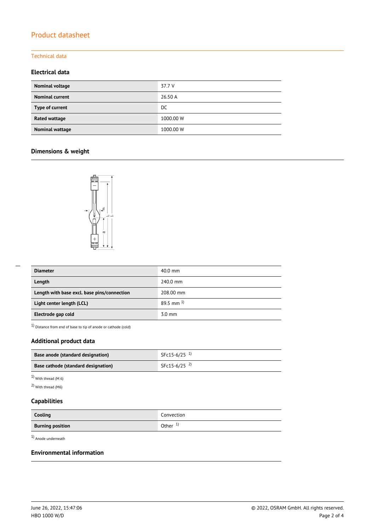## Technical data

## **Electrical data**

| Nominal voltage        | 37.7 V    |
|------------------------|-----------|
| <b>Nominal current</b> | 26.50 A   |
| Type of current        | DC        |
| <b>Rated wattage</b>   | 1000.00 W |
| <b>Nominal wattage</b> | 1000.00 W |

## **Dimensions & weight**



| <b>Diameter</b>                             | $40.0 \text{ mm}$       |  |
|---------------------------------------------|-------------------------|--|
| Length                                      | 240.0 mm                |  |
| Length with base excl. base pins/connection | 208.00 mm               |  |
| Light center length (LCL)                   | $89.5$ mm <sup>1)</sup> |  |
| Electrode gap cold                          | $3.0 \text{ mm}$        |  |

 $1)$  Distance from end of base to tip of anode or cathode (cold)

## **Additional product data**

| Base anode (standard designation)   | SFc15-6/25 $^{1}$ |
|-------------------------------------|-------------------|
| Base cathode (standard designation) | SFc15-6/25 $^{2}$ |

 $1)$  With thread (M 6)

2) With thread (M6)

## **Capabilities**

| Cooling                 | Convection |
|-------------------------|------------|
| <b>Burning position</b> | Other $1$  |

1) Anode underneath

## **Environmental information**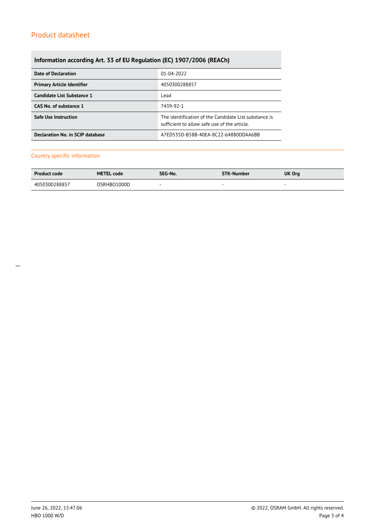## **Information according Art. 33 of EU Regulation (EC) 1907/2006 (REACh)**

| <b>Date of Declaration</b>          | 01-04-2022                                                                                            |  |  |
|-------------------------------------|-------------------------------------------------------------------------------------------------------|--|--|
| <b>Primary Article Identifier</b>   | 4050300288857                                                                                         |  |  |
| Candidate List Substance 1          | Lead                                                                                                  |  |  |
| CAS No. of substance 1<br>7439-92-1 |                                                                                                       |  |  |
| <b>Safe Use Instruction</b>         | The identification of the Candidate List substance is<br>sufficient to allow safe use of the article. |  |  |
| Declaration No. in SCIP database    | A7ED535D-B58B-40EA-8C22-64880DDAA6BB                                                                  |  |  |

#### Country specific information

| <b>Product code</b> | <b>METEL code</b> | SEG-No. | STK-Number | UK Org |
|---------------------|-------------------|---------|------------|--------|
| 4050300288857       | OSRHBO1000D       |         | -          |        |